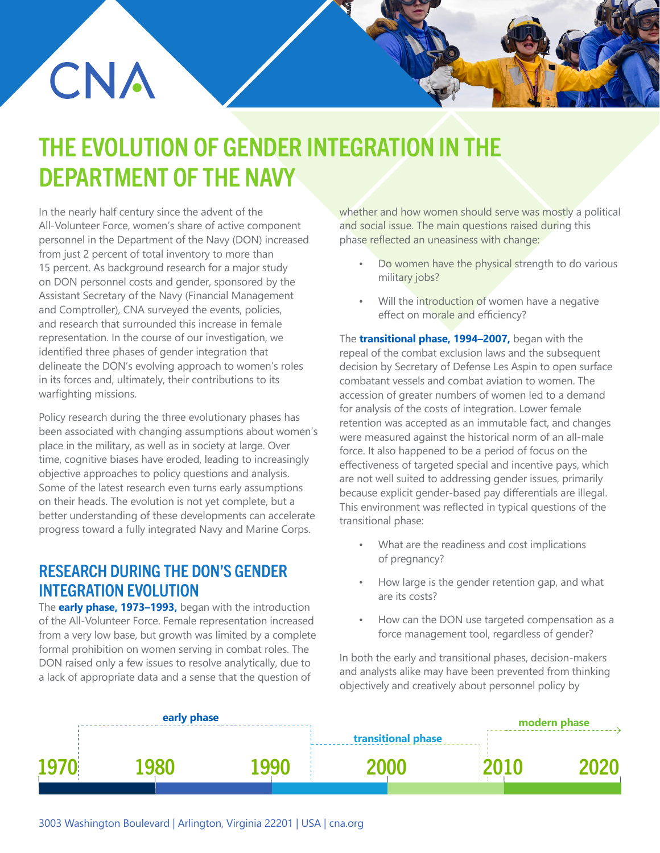# THE EVOLUTION OF GENDER INTEGRATION IN THE DEPARTMENT OF THE NAVY

In the nearly half century since the advent of the All-Volunteer Force, women's share of active component personnel in the Department of the Navy (DON) increased from just 2 percent of total inventory to more than 15 percent. As background research for a major study on DON personnel costs and gender, sponsored by the Assistant Secretary of the Navy (Financial Management and Comptroller), CNA surveyed the events, policies, and research that surrounded this increase in female representation. In the course of our investigation, we identified three phases of gender integration that delineate the DON's evolving approach to women's roles in its forces and, ultimately, their contributions to its warfighting missions.

CNA

Policy research during the three evolutionary phases has been associated with changing assumptions about women's place in the military, as well as in society at large. Over time, cognitive biases have eroded, leading to increasingly objective approaches to policy questions and analysis. Some of the latest research even turns early assumptions on their heads. The evolution is not yet complete, but a better understanding of these developments can accelerate progress toward a fully integrated Navy and Marine Corps.

### RESEARCH DURING THE DON'S GENDER INTEGRATION EVOLUTION

The **early phase, 1973–1993,** began with the introduction of the All-Volunteer Force. Female representation increased from a very low base, but growth was limited by a complete formal prohibition on women serving in combat roles. The DON raised only a few issues to resolve analytically, due to a lack of appropriate data and a sense that the question of

whether and how women should serve was mostly a political and social issue. The main questions raised during this phase reflected an uneasiness with change:

- Do women have the physical strength to do various military jobs?
- Will the introduction of women have a negative effect on morale and efficiency?

The **transitional phase, 1994–2007,** began with the repeal of the combat exclusion laws and the subsequent decision by Secretary of Defense Les Aspin to open surface combatant vessels and combat aviation to women. The accession of greater numbers of women led to a demand for analysis of the costs of integration. Lower female retention was accepted as an immutable fact, and changes were measured against the historical norm of an all-male force. It also happened to be a period of focus on the effectiveness of targeted special and incentive pays, which are not well suited to addressing gender issues, primarily because explicit gender-based pay differentials are illegal. This environment was reflected in typical questions of the transitional phase:

- What are the readiness and cost implications of pregnancy?
- How large is the gender retention gap, and what are its costs?
- How can the DON use targeted compensation as a force management tool, regardless of gender?

In both the early and transitional phases, decision-makers and analysts alike may have been prevented from thinking objectively and creatively about personnel policy by

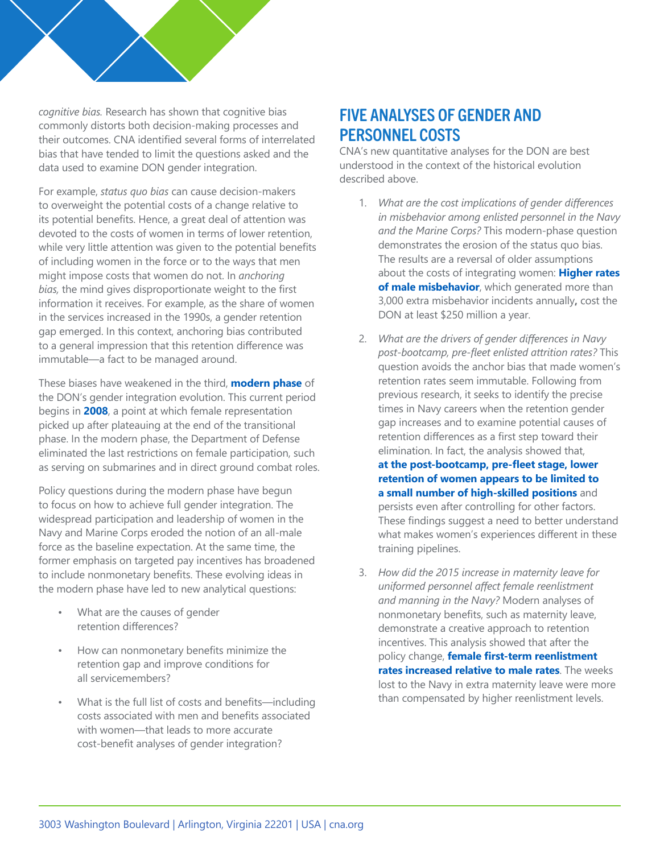

For example, *status quo bias* can cause decision-makers to overweight the potential costs of a change relative to its potential benefits. Hence, a great deal of attention was devoted to the costs of women in terms of lower retention, while very little attention was given to the potential benefits of including women in the force or to the ways that men might impose costs that women do not. In *anchoring bias,* the mind gives disproportionate weight to the first information it receives. For example, as the share of women in the services increased in the 1990s, a gender retention gap emerged. In this context, anchoring bias contributed to a general impression that this retention difference was immutable—a fact to be managed around.

These biases have weakened in the third, **modern phase** of the DON's gender integration evolution. This current period begins in **2008**, a point at which female representation picked up after plateauing at the end of the transitional phase. In the modern phase, the Department of Defense eliminated the last restrictions on female participation, such as serving on submarines and in direct ground combat roles.

Policy questions during the modern phase have begun to focus on how to achieve full gender integration. The widespread participation and leadership of women in the Navy and Marine Corps eroded the notion of an all-male force as the baseline expectation. At the same time, the former emphasis on targeted pay incentives has broadened to include nonmonetary benefits. These evolving ideas in the modern phase have led to new analytical questions:

- What are the causes of gender retention differences?
- How can nonmonetary benefits minimize the retention gap and improve conditions for all servicemembers?
- What is the full list of costs and benefits—including costs associated with men and benefits associated with women—that leads to more accurate cost-benefit analyses of gender integration?

### FIVE ANALYSES OF GENDER AND PERSONNEL COSTS

CNA's new quantitative analyses for the DON are best understood in the context of the historical evolution described above.

- 1. *What are the cost implications of gender differences in misbehavior among enlisted personnel in the Navy and the Marine Corps?* This modern-phase question demonstrates the erosion of the status quo bias. The results are a reversal of older assumptions about the costs of integrating women: **Higher rates of male misbehavior**, which generated more than 3,000 extra misbehavior incidents annually**,** cost the DON at least \$250 million a year.
- 2. *What are the drivers of gender differences in Navy post-bootcamp, pre-fleet enlisted attrition rates?* This question avoids the anchor bias that made women's retention rates seem immutable. Following from previous research, it seeks to identify the precise times in Navy careers when the retention gender gap increases and to examine potential causes of retention differences as a first step toward their elimination. In fact, the analysis showed that, **at the post-bootcamp, pre-fleet stage, lower retention of women appears to be limited to a small number of high-skilled positions** and persists even after controlling for other factors. These findings suggest a need to better understand what makes women's experiences different in these training pipelines.
- 3. *How did the 2015 increase in maternity leave for uniformed personnel affect female reenlistment and manning in the Navy?* Modern analyses of nonmonetary benefits, such as maternity leave, demonstrate a creative approach to retention incentives. This analysis showed that after the policy change, **female first-term reenlistment rates increased relative to male rates**. The weeks lost to the Navy in extra maternity leave were more than compensated by higher reenlistment levels.